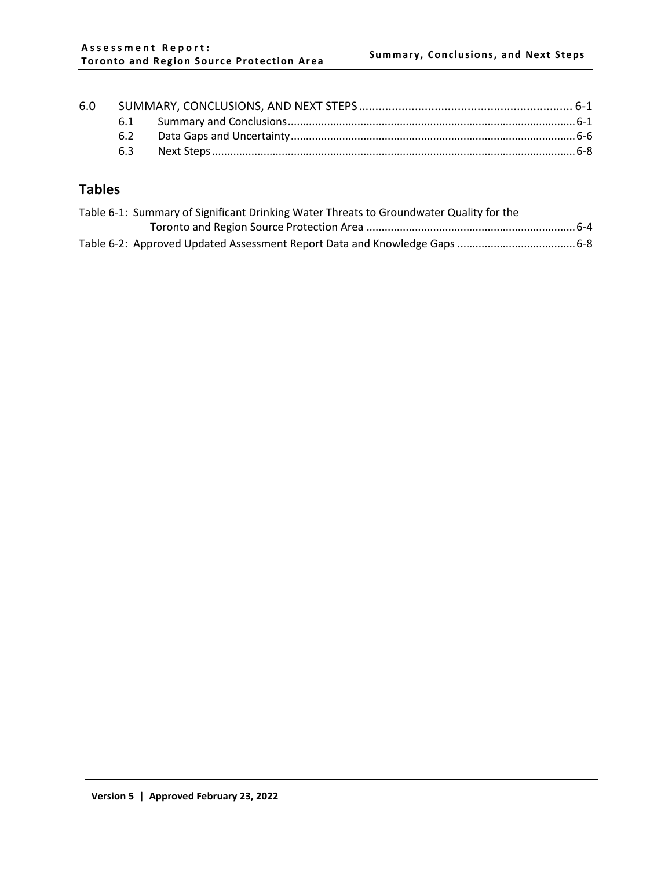|  | 63 |  |  |
|--|----|--|--|

# **Tables**

| Table 6-1: Summary of Significant Drinking Water Threats to Groundwater Quality for the |  |
|-----------------------------------------------------------------------------------------|--|
|                                                                                         |  |
|                                                                                         |  |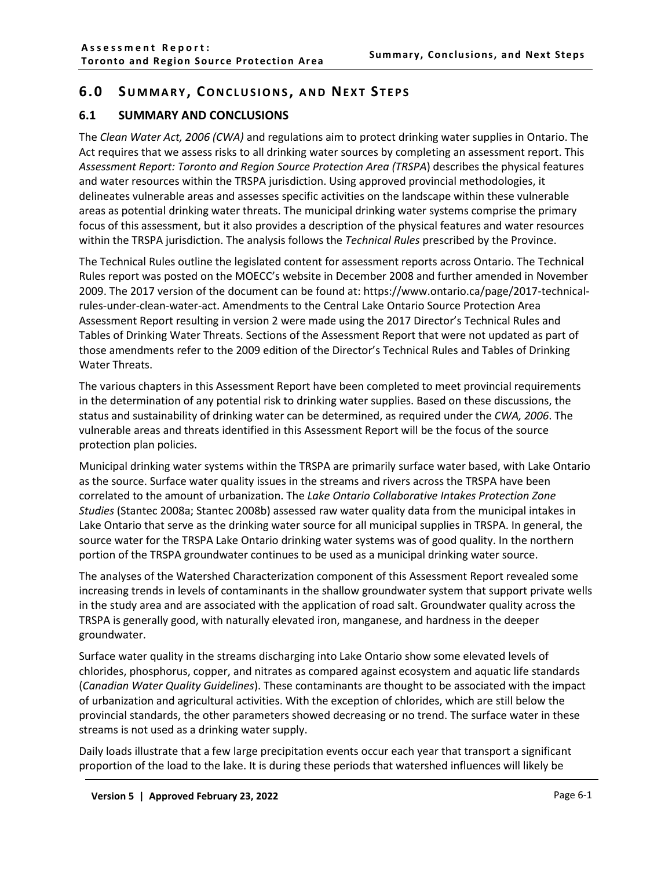## <span id="page-1-0"></span>**6.0 SUMMARY , CONCLUSIONS , AND NEXT S TEPS**

#### <span id="page-1-1"></span>**6.1 SUMMARY AND CONCLUSIONS**

The *Clean Water Act, 2006 (CWA)* and regulations aim to protect drinking water supplies in Ontario. The Act requires that we assess risks to all drinking water sources by completing an assessment report. This *Assessment Report: Toronto and Region Source Protection Area (TRSPA*) describes the physical features and water resources within the TRSPA jurisdiction. Using approved provincial methodologies, it delineates vulnerable areas and assesses specific activities on the landscape within these vulnerable areas as potential drinking water threats. The municipal drinking water systems comprise the primary focus of this assessment, but it also provides a description of the physical features and water resources within the TRSPA jurisdiction. The analysis follows the *Technical Rules* prescribed by the Province.

The Technical Rules outline the legislated content for assessment reports across Ontario. The Technical Rules report was posted on the MOECC's website in December 2008 and further amended in November 2009. The 2017 version of the document can be found at: https://www.ontario.ca/page/2017-technicalrules-under-clean-water-act. Amendments to the Central Lake Ontario Source Protection Area Assessment Report resulting in version 2 were made using the 2017 Director's Technical Rules and Tables of Drinking Water Threats. Sections of the Assessment Report that were not updated as part of those amendments refer to the 2009 edition of the Director's Technical Rules and Tables of Drinking Water Threats.

The various chapters in this Assessment Report have been completed to meet provincial requirements in the determination of any potential risk to drinking water supplies. Based on these discussions, the status and sustainability of drinking water can be determined, as required under the *CWA, 2006*. The vulnerable areas and threats identified in this Assessment Report will be the focus of the source protection plan policies.

Municipal drinking water systems within the TRSPA are primarily surface water based, with Lake Ontario as the source. Surface water quality issues in the streams and rivers across the TRSPA have been correlated to the amount of urbanization. The *Lake Ontario Collaborative Intakes Protection Zone Studies* (Stantec 2008a; Stantec 2008b) assessed raw water quality data from the municipal intakes in Lake Ontario that serve as the drinking water source for all municipal supplies in TRSPA. In general, the source water for the TRSPA Lake Ontario drinking water systems was of good quality. In the northern portion of the TRSPA groundwater continues to be used as a municipal drinking water source.

The analyses of the Watershed Characterization component of this Assessment Report revealed some increasing trends in levels of contaminants in the shallow groundwater system that support private wells in the study area and are associated with the application of road salt. Groundwater quality across the TRSPA is generally good, with naturally elevated iron, manganese, and hardness in the deeper groundwater.

Surface water quality in the streams discharging into Lake Ontario show some elevated levels of chlorides, phosphorus, copper, and nitrates as compared against ecosystem and aquatic life standards (*Canadian Water Quality Guidelines*). These contaminants are thought to be associated with the impact of urbanization and agricultural activities. With the exception of chlorides, which are still below the provincial standards, the other parameters showed decreasing or no trend. The surface water in these streams is not used as a drinking water supply.

Daily loads illustrate that a few large precipitation events occur each year that transport a significant proportion of the load to the lake. It is during these periods that watershed influences will likely be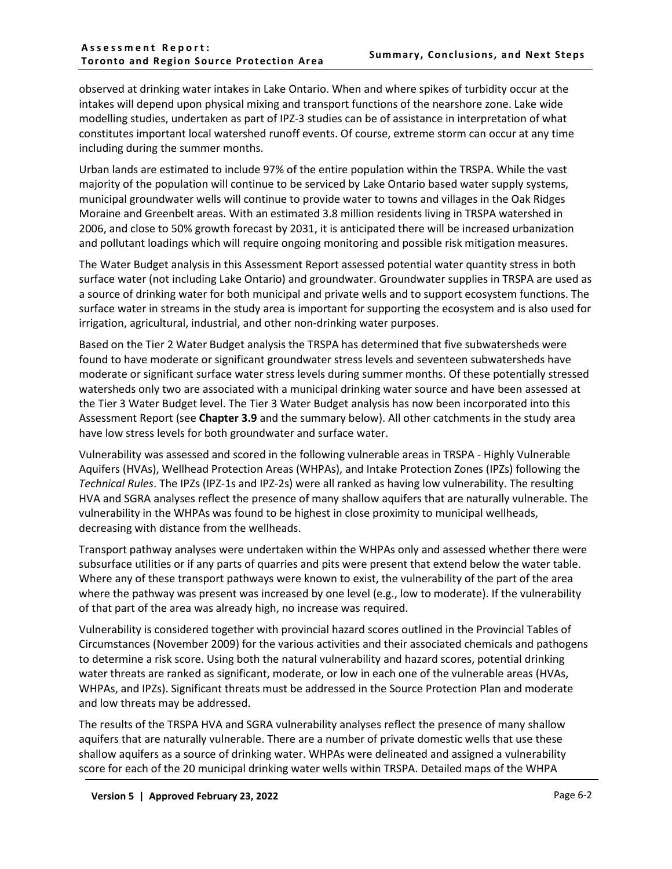observed at drinking water intakes in Lake Ontario. When and where spikes of turbidity occur at the intakes will depend upon physical mixing and transport functions of the nearshore zone. Lake wide modelling studies, undertaken as part of IPZ-3 studies can be of assistance in interpretation of what constitutes important local watershed runoff events. Of course, extreme storm can occur at any time including during the summer months.

Urban lands are estimated to include 97% of the entire population within the TRSPA. While the vast majority of the population will continue to be serviced by Lake Ontario based water supply systems, municipal groundwater wells will continue to provide water to towns and villages in the Oak Ridges Moraine and Greenbelt areas. With an estimated 3.8 million residents living in TRSPA watershed in 2006, and close to 50% growth forecast by 2031, it is anticipated there will be increased urbanization and pollutant loadings which will require ongoing monitoring and possible risk mitigation measures.

The Water Budget analysis in this Assessment Report assessed potential water quantity stress in both surface water (not including Lake Ontario) and groundwater. Groundwater supplies in TRSPA are used as a source of drinking water for both municipal and private wells and to support ecosystem functions. The surface water in streams in the study area is important for supporting the ecosystem and is also used for irrigation, agricultural, industrial, and other non-drinking water purposes.

Based on the Tier 2 Water Budget analysis the TRSPA has determined that five subwatersheds were found to have moderate or significant groundwater stress levels and seventeen subwatersheds have moderate or significant surface water stress levels during summer months. Of these potentially stressed watersheds only two are associated with a municipal drinking water source and have been assessed at the Tier 3 Water Budget level. The Tier 3 Water Budget analysis has now been incorporated into this Assessment Report (see **Chapter 3.9** and the summary below). All other catchments in the study area have low stress levels for both groundwater and surface water.

Vulnerability was assessed and scored in the following vulnerable areas in TRSPA - Highly Vulnerable Aquifers (HVAs), Wellhead Protection Areas (WHPAs), and Intake Protection Zones (IPZs) following the *Technical Rules*. The IPZs (IPZ-1s and IPZ-2s) were all ranked as having low vulnerability. The resulting HVA and SGRA analyses reflect the presence of many shallow aquifers that are naturally vulnerable. The vulnerability in the WHPAs was found to be highest in close proximity to municipal wellheads, decreasing with distance from the wellheads.

Transport pathway analyses were undertaken within the WHPAs only and assessed whether there were subsurface utilities or if any parts of quarries and pits were present that extend below the water table. Where any of these transport pathways were known to exist, the vulnerability of the part of the area where the pathway was present was increased by one level (e.g., low to moderate). If the vulnerability of that part of the area was already high, no increase was required.

Vulnerability is considered together with provincial hazard scores outlined in the Provincial Tables of Circumstances (November 2009) for the various activities and their associated chemicals and pathogens to determine a risk score. Using both the natural vulnerability and hazard scores, potential drinking water threats are ranked as significant, moderate, or low in each one of the vulnerable areas (HVAs, WHPAs, and IPZs). Significant threats must be addressed in the Source Protection Plan and moderate and low threats may be addressed.

The results of the TRSPA HVA and SGRA vulnerability analyses reflect the presence of many shallow aquifers that are naturally vulnerable. There are a number of private domestic wells that use these shallow aquifers as a source of drinking water. WHPAs were delineated and assigned a vulnerability score for each of the 20 municipal drinking water wells within TRSPA. Detailed maps of the WHPA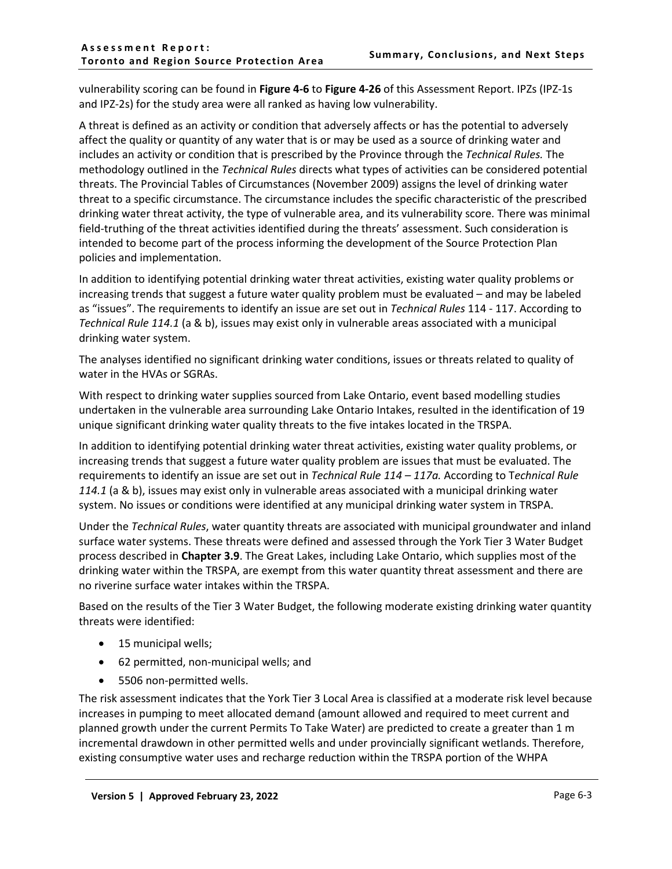vulnerability scoring can be found in **Figure 4-6** to **Figure 4-26** of this Assessment Report. IPZs (IPZ-1s and IPZ-2s) for the study area were all ranked as having low vulnerability.

A threat is defined as an activity or condition that adversely affects or has the potential to adversely affect the quality or quantity of any water that is or may be used as a source of drinking water and includes an activity or condition that is prescribed by the Province through the *Technical Rules.* The methodology outlined in the *Technical Rules* directs what types of activities can be considered potential threats. The Provincial Tables of Circumstances (November 2009) assigns the level of drinking water threat to a specific circumstance. The circumstance includes the specific characteristic of the prescribed drinking water threat activity, the type of vulnerable area, and its vulnerability score*.* There was minimal field-truthing of the threat activities identified during the threats' assessment. Such consideration is intended to become part of the process informing the development of the Source Protection Plan policies and implementation.

In addition to identifying potential drinking water threat activities, existing water quality problems or increasing trends that suggest a future water quality problem must be evaluated – and may be labeled as "issues". The requirements to identify an issue are set out in *Technical Rules* 114 - 117. According to *Technical Rule 114.1* (a & b), issues may exist only in vulnerable areas associated with a municipal drinking water system.

The analyses identified no significant drinking water conditions, issues or threats related to quality of water in the HVAs or SGRAs.

With respect to drinking water supplies sourced from Lake Ontario, event based modelling studies undertaken in the vulnerable area surrounding Lake Ontario Intakes, resulted in the identification of 19 unique significant drinking water quality threats to the five intakes located in the TRSPA.

In addition to identifying potential drinking water threat activities, existing water quality problems, or increasing trends that suggest a future water quality problem are issues that must be evaluated. The requirements to identify an issue are set out in *Technical Rule 114 – 117a.* According to T*echnical Rule 114.1* (a & b), issues may exist only in vulnerable areas associated with a municipal drinking water system. No issues or conditions were identified at any municipal drinking water system in TRSPA.

Under the *Technical Rules*, water quantity threats are associated with municipal groundwater and inland surface water systems. These threats were defined and assessed through the York Tier 3 Water Budget process described in **Chapter 3.9**. The Great Lakes, including Lake Ontario, which supplies most of the drinking water within the TRSPA, are exempt from this water quantity threat assessment and there are no riverine surface water intakes within the TRSPA.

Based on the results of the Tier 3 Water Budget, the following moderate existing drinking water quantity threats were identified:

- 15 municipal wells;
- 62 permitted, non-municipal wells; and
- 5506 non-permitted wells.

The risk assessment indicates that the York Tier 3 Local Area is classified at a moderate risk level because increases in pumping to meet allocated demand (amount allowed and required to meet current and planned growth under the current Permits To Take Water) are predicted to create a greater than 1 m incremental drawdown in other permitted wells and under provincially significant wetlands. Therefore, existing consumptive water uses and recharge reduction within the TRSPA portion of the WHPA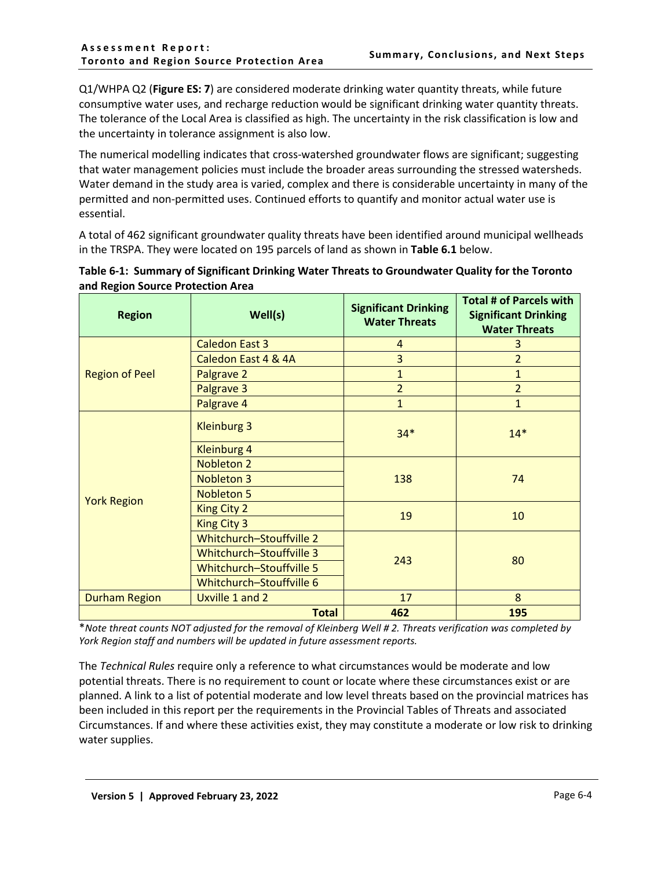Q1/WHPA Q2 (**Figure ES: 7**) are considered moderate drinking water quantity threats, while future consumptive water uses, and recharge reduction would be significant drinking water quantity threats. The tolerance of the Local Area is classified as high. The uncertainty in the risk classification is low and the uncertainty in tolerance assignment is also low.

The numerical modelling indicates that cross-watershed groundwater flows are significant; suggesting that water management policies must include the broader areas surrounding the stressed watersheds. Water demand in the study area is varied, complex and there is considerable uncertainty in many of the permitted and non-permitted uses. Continued efforts to quantify and monitor actual water use is essential.

A total of 462 significant groundwater quality threats have been identified around municipal wellheads in the TRSPA. They were located on 195 parcels of land as shown in **Table 6.1** below.

| <b>Region</b>         | Well(s)                  | <b>Significant Drinking</b><br><b>Water Threats</b> | <b>Total # of Parcels with</b><br><b>Significant Drinking</b><br><b>Water Threats</b> |  |
|-----------------------|--------------------------|-----------------------------------------------------|---------------------------------------------------------------------------------------|--|
|                       | <b>Caledon East 3</b>    | 4                                                   | 3                                                                                     |  |
|                       | Caledon East 4 & 4A      | 3                                                   | $\overline{2}$                                                                        |  |
| <b>Region of Peel</b> | Palgrave 2               | $\mathbf{1}$                                        | $\mathbf{1}$                                                                          |  |
|                       | Palgrave 3               | $\overline{2}$                                      | $\overline{2}$                                                                        |  |
|                       | Palgrave 4               | $\mathbf{1}$                                        | 1                                                                                     |  |
|                       | <b>Kleinburg 3</b>       | $34*$                                               | $14*$                                                                                 |  |
|                       | <b>Kleinburg 4</b>       |                                                     |                                                                                       |  |
|                       | <b>Nobleton 2</b>        |                                                     | 74                                                                                    |  |
|                       | <b>Nobleton 3</b>        | 138                                                 |                                                                                       |  |
| <b>York Region</b>    | <b>Nobleton 5</b>        |                                                     |                                                                                       |  |
|                       | <b>King City 2</b>       | 19                                                  | 10                                                                                    |  |
|                       | <b>King City 3</b>       |                                                     |                                                                                       |  |
|                       | Whitchurch-Stouffville 2 |                                                     | 80                                                                                    |  |
|                       | Whitchurch-Stouffville 3 | 243                                                 |                                                                                       |  |
|                       | Whitchurch-Stouffville 5 |                                                     |                                                                                       |  |
|                       | Whitchurch-Stouffville 6 |                                                     |                                                                                       |  |
| <b>Durham Region</b>  | Uxville 1 and 2          | 17                                                  | 8                                                                                     |  |
|                       | <b>Total</b>             | 462                                                 | 195                                                                                   |  |

<span id="page-4-0"></span>

| Table 6-1: Summary of Significant Drinking Water Threats to Groundwater Quality for the Toronto |  |
|-------------------------------------------------------------------------------------------------|--|
| and Region Source Protection Area                                                               |  |

\**Note threat counts NOT adjusted for the removal of Kleinberg Well # 2. Threats verification was completed by York Region staff and numbers will be updated in future assessment reports.*

The *Technical Rules* require only a reference to what circumstances would be moderate and low potential threats. There is no requirement to count or locate where these circumstances exist or are planned. A link to a list of potential moderate and low level threats based on the provincial matrices has been included in this report per the requirements in the Provincial Tables of Threats and associated Circumstances. If and where these activities exist, they may constitute a moderate or low risk to drinking water supplies.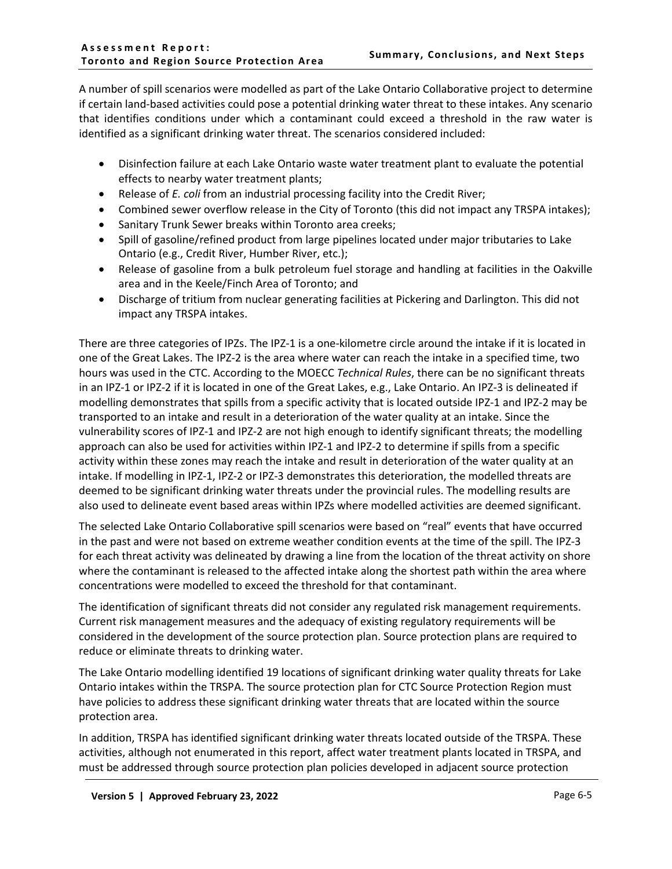A number of spill scenarios were modelled as part of the Lake Ontario Collaborative project to determine if certain land-based activities could pose a potential drinking water threat to these intakes. Any scenario that identifies conditions under which a contaminant could exceed a threshold in the raw water is identified as a significant drinking water threat. The scenarios considered included:

- Disinfection failure at each Lake Ontario waste water treatment plant to evaluate the potential effects to nearby water treatment plants;
- Release of *E. coli* from an industrial processing facility into the Credit River;
- Combined sewer overflow release in the City of Toronto (this did not impact any TRSPA intakes);
- Sanitary Trunk Sewer breaks within Toronto area creeks;
- Spill of gasoline/refined product from large pipelines located under major tributaries to Lake Ontario (e.g., Credit River, Humber River, etc.);
- Release of gasoline from a bulk petroleum fuel storage and handling at facilities in the Oakville area and in the Keele/Finch Area of Toronto; and
- Discharge of tritium from nuclear generating facilities at Pickering and Darlington. This did not impact any TRSPA intakes.

There are three categories of IPZs. The IPZ-1 is a one-kilometre circle around the intake if it is located in one of the Great Lakes. The IPZ-2 is the area where water can reach the intake in a specified time, two hours was used in the CTC. According to the MOECC *Technical Rules*, there can be no significant threats in an IPZ-1 or IPZ-2 if it is located in one of the Great Lakes, e.g., Lake Ontario. An IPZ-3 is delineated if modelling demonstrates that spills from a specific activity that is located outside IPZ-1 and IPZ-2 may be transported to an intake and result in a deterioration of the water quality at an intake. Since the vulnerability scores of IPZ-1 and IPZ-2 are not high enough to identify significant threats; the modelling approach can also be used for activities within IPZ-1 and IPZ-2 to determine if spills from a specific activity within these zones may reach the intake and result in deterioration of the water quality at an intake. If modelling in IPZ-1, IPZ-2 or IPZ-3 demonstrates this deterioration, the modelled threats are deemed to be significant drinking water threats under the provincial rules. The modelling results are also used to delineate event based areas within IPZs where modelled activities are deemed significant.

The selected Lake Ontario Collaborative spill scenarios were based on "real" events that have occurred in the past and were not based on extreme weather condition events at the time of the spill. The IPZ-3 for each threat activity was delineated by drawing a line from the location of the threat activity on shore where the contaminant is released to the affected intake along the shortest path within the area where concentrations were modelled to exceed the threshold for that contaminant.

The identification of significant threats did not consider any regulated risk management requirements. Current risk management measures and the adequacy of existing regulatory requirements will be considered in the development of the source protection plan. Source protection plans are required to reduce or eliminate threats to drinking water.

The Lake Ontario modelling identified 19 locations of significant drinking water quality threats for Lake Ontario intakes within the TRSPA. The source protection plan for CTC Source Protection Region must have policies to address these significant drinking water threats that are located within the source protection area.

In addition, TRSPA has identified significant drinking water threats located outside of the TRSPA. These activities, although not enumerated in this report, affect water treatment plants located in TRSPA, and must be addressed through source protection plan policies developed in adjacent source protection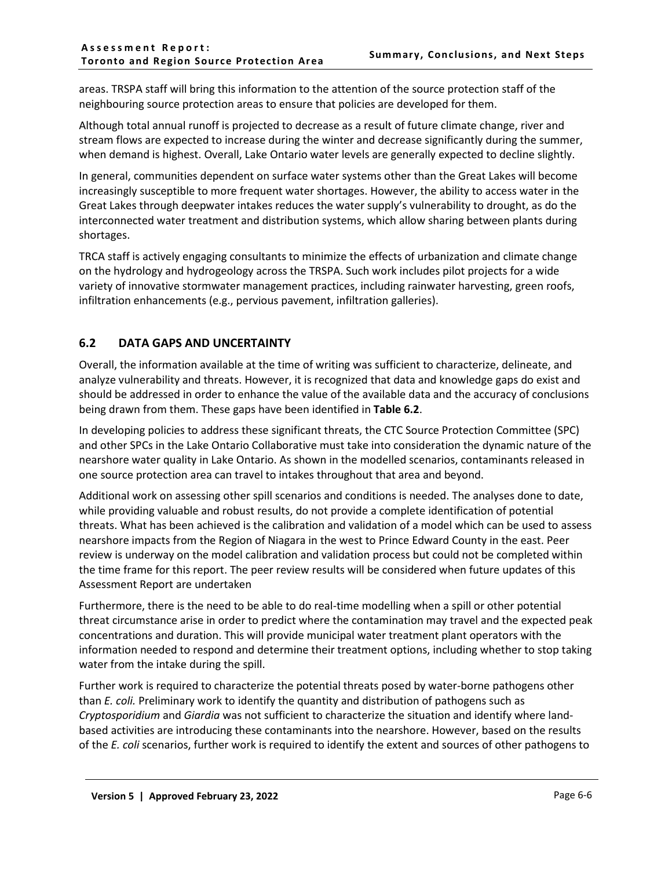areas. TRSPA staff will bring this information to the attention of the source protection staff of the neighbouring source protection areas to ensure that policies are developed for them.

Although total annual runoff is projected to decrease as a result of future climate change, river and stream flows are expected to increase during the winter and decrease significantly during the summer, when demand is highest. Overall, Lake Ontario water levels are generally expected to decline slightly.

In general, communities dependent on surface water systems other than the Great Lakes will become increasingly susceptible to more frequent water shortages. However, the ability to access water in the Great Lakes through deepwater intakes reduces the water supply's vulnerability to drought, as do the interconnected water treatment and distribution systems, which allow sharing between plants during shortages.

TRCA staff is actively engaging consultants to minimize the effects of urbanization and climate change on the hydrology and hydrogeology across the TRSPA. Such work includes pilot projects for a wide variety of innovative stormwater management practices, including rainwater harvesting, green roofs, infiltration enhancements (e.g., pervious pavement, infiltration galleries).

### <span id="page-6-0"></span>**6.2 DATA GAPS AND UNCERTAINTY**

Overall, the information available at the time of writing was sufficient to characterize, delineate, and analyze vulnerability and threats. However, it is recognized that data and knowledge gaps do exist and should be addressed in order to enhance the value of the available data and the accuracy of conclusions being drawn from them. These gaps have been identified in **[Table 6.2](#page-8-1)**.

In developing policies to address these significant threats, the CTC Source Protection Committee (SPC) and other SPCs in the Lake Ontario Collaborative must take into consideration the dynamic nature of the nearshore water quality in Lake Ontario. As shown in the modelled scenarios, contaminants released in one source protection area can travel to intakes throughout that area and beyond.

Additional work on assessing other spill scenarios and conditions is needed. The analyses done to date, while providing valuable and robust results, do not provide a complete identification of potential threats. What has been achieved is the calibration and validation of a model which can be used to assess nearshore impacts from the Region of Niagara in the west to Prince Edward County in the east. Peer review is underway on the model calibration and validation process but could not be completed within the time frame for this report. The peer review results will be considered when future updates of this Assessment Report are undertaken

Furthermore, there is the need to be able to do real-time modelling when a spill or other potential threat circumstance arise in order to predict where the contamination may travel and the expected peak concentrations and duration. This will provide municipal water treatment plant operators with the information needed to respond and determine their treatment options, including whether to stop taking water from the intake during the spill.

Further work is required to characterize the potential threats posed by water-borne pathogens other than *E. coli.* Preliminary work to identify the quantity and distribution of pathogens such as *Cryptosporidium* and *Giardia* was not sufficient to characterize the situation and identify where landbased activities are introducing these contaminants into the nearshore. However, based on the results of the *E. coli* scenarios, further work is required to identify the extent and sources of other pathogens to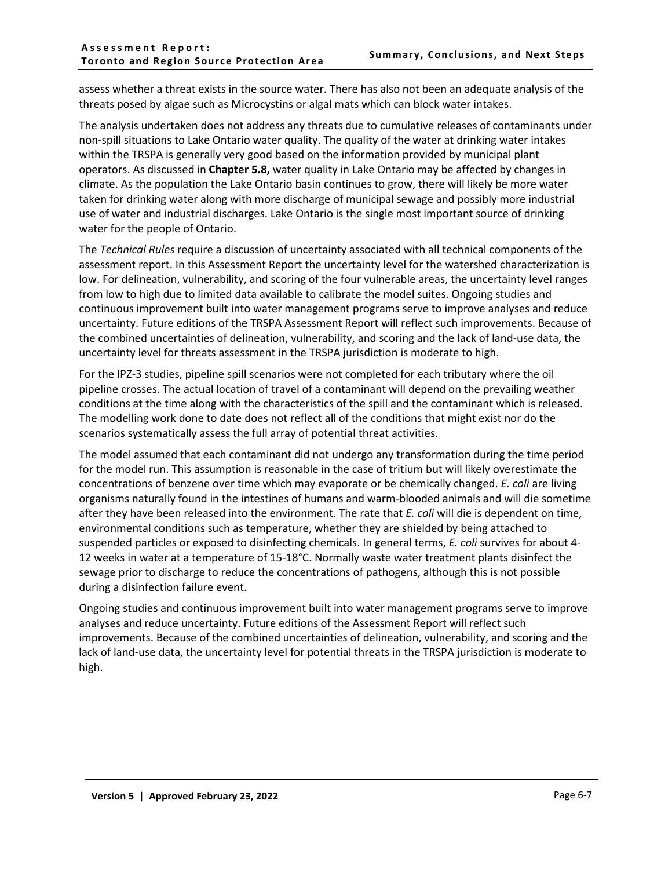assess whether a threat exists in the source water. There has also not been an adequate analysis of the threats posed by algae such as Microcystins or algal mats which can block water intakes.

The analysis undertaken does not address any threats due to cumulative releases of contaminants under non-spill situations to Lake Ontario water quality. The quality of the water at drinking water intakes within the TRSPA is generally very good based on the information provided by municipal plant operators. As discussed in **Chapter 5.8,** water quality in Lake Ontario may be affected by changes in climate. As the population the Lake Ontario basin continues to grow, there will likely be more water taken for drinking water along with more discharge of municipal sewage and possibly more industrial use of water and industrial discharges. Lake Ontario is the single most important source of drinking water for the people of Ontario.

The *Technical Rules* require a discussion of uncertainty associated with all technical components of the assessment report. In this Assessment Report the uncertainty level for the watershed characterization is low. For delineation, vulnerability, and scoring of the four vulnerable areas, the uncertainty level ranges from low to high due to limited data available to calibrate the model suites. Ongoing studies and continuous improvement built into water management programs serve to improve analyses and reduce uncertainty. Future editions of the TRSPA Assessment Report will reflect such improvements. Because of the combined uncertainties of delineation, vulnerability, and scoring and the lack of land-use data, the uncertainty level for threats assessment in the TRSPA jurisdiction is moderate to high.

For the IPZ-3 studies, pipeline spill scenarios were not completed for each tributary where the oil pipeline crosses. The actual location of travel of a contaminant will depend on the prevailing weather conditions at the time along with the characteristics of the spill and the contaminant which is released. The modelling work done to date does not reflect all of the conditions that might exist nor do the scenarios systematically assess the full array of potential threat activities.

The model assumed that each contaminant did not undergo any transformation during the time period for the model run. This assumption is reasonable in the case of tritium but will likely overestimate the concentrations of benzene over time which may evaporate or be chemically changed. *E. coli* are living organisms naturally found in the intestines of humans and warm-blooded animals and will die sometime after they have been released into the environment. The rate that *E. coli* will die is dependent on time, environmental conditions such as temperature, whether they are shielded by being attached to suspended particles or exposed to disinfecting chemicals. In general terms, *E. coli* survives for about 4- 12 weeks in water at a temperature of 15-18°C. Normally waste water treatment plants disinfect the sewage prior to discharge to reduce the concentrations of pathogens, although this is not possible during a disinfection failure event.

Ongoing studies and continuous improvement built into water management programs serve to improve analyses and reduce uncertainty. Future editions of the Assessment Report will reflect such improvements. Because of the combined uncertainties of delineation, vulnerability, and scoring and the lack of land-use data, the uncertainty level for potential threats in the TRSPA jurisdiction is moderate to high.